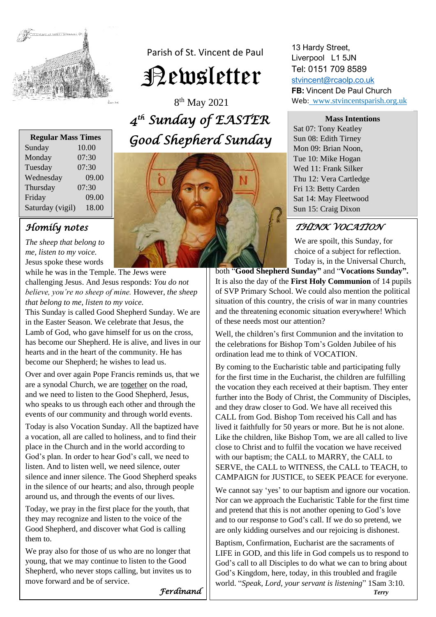

Parish of St. Vincent de Paul Newsletter

8 th May 2021 *4 th Sunday of EASTER Good Shepherd Sunday* 

| <b>Regular Mass Times</b> |       |
|---------------------------|-------|
| Sunday                    | 10.00 |
| Monday                    | 07:30 |
| Tuesday                   | 07:30 |
| Wednesday                 | 09.00 |
| Thursday                  | 07:30 |
| Friday                    | 09.00 |
| Saturday (vigil)          | 18.00 |
|                           |       |

## *Homily notes*

*The sheep that belong to me, listen to my voice.* Jesus spoke these words

while he was in the Temple. The Jews were challenging Jesus. And Jesus responds: *You do not believe, you're no sheep of mine.* However, *the sheep that belong to me, listen to my voice.*

This Sunday is called Good Shepherd Sunday. We are in the Easter Season. We celebrate that Jesus, the Lamb of God, who gave himself for us on the cross, has become our Shepherd. He is alive, and lives in our hearts and in the heart of the community. He has become our Shepherd; he wishes to lead us.

Over and over again Pope Francis reminds us, that we are a synodal Church, we are together on the road, and we need to listen to the Good Shepherd, Jesus, who speaks to us through each other and through the events of our community and through world events.

Today is also Vocation Sunday. All the baptized have a vocation, all are called to holiness, and to find their place in the Church and in the world according to God's plan. In order to hear God's call, we need to listen. And to listen well, we need silence, outer silence and inner silence. The Good Shepherd speaks in the silence of our hearts; and also, through people around us, and through the events of our lives.

Today, we pray in the first place for the youth, that they may recognize and listen to the voice of the Good Shepherd, and discover what God is calling them to.

We pray also for those of us who are no longer that young, that we may continue to listen to the Good Shepherd, who never stops calling, but invites us to move forward and be of service.



13 Hardy Street, Liverpool L1 5JN Tel: 0151 709 8589 [stvincent@rcaolp.co.uk](mailto:stvincent@rcaolp.co.uk) **FB:** Vincent De Paul Church Web: www.stvincentsparish.org.uk

#### **Mass Intentions**

Sat 07: Tony Keatley Sun 08: Edith Tirney Mon 09: Brian Noon, Tue 10: Mike Hogan Wed 11: Frank Silker Thu 12: Vera Cartledge Fri 13: Betty Carden Sat 14: May Fleetwood Sun 15: Craig Dixon

#### Ï *THINK VOCATION*

We are spoilt, this Sunday, for choice of a subject for reflection. Today is, in the Universal Church,

both "**Good Shepherd Sunday"** and "**Vocations Sunday".** It is also the day of the **First Holy Communion** of 14 pupils of SVP Primary School. We could also mention the political situation of this country, the crisis of war in many countries and the threatening economic situation everywhere! Which of these needs most our attention?

Well, the children's first Communion and the invitation to the celebrations for Bishop Tom's Golden Jubilee of his ordination lead me to think of VOCATION.

By coming to the Eucharistic table and participating fully for the first time in the Eucharist, the children are fulfilling the vocation they each received at their baptism. They enter further into the Body of Christ, the Community of Disciples, and they draw closer to God. We have all received this CALL from God. Bishop Tom received his Call and has lived it faithfully for 50 years or more. But he is not alone. Like the children, like Bishop Tom, we are all called to live close to Christ and to fulfil the vocation we have received with our baptism; the CALL to MARRY, the CALL to SERVE, the CALL to WITNESS, the CALL to TEACH, to CAMPAIGN for JUSTICE, to SEEK PEACE for everyone.

We cannot say 'yes' to our baptism and ignore our vocation. Nor can we approach the Eucharistic Table for the first time and pretend that this is not another opening to God's love and to our response to God's call. If we do so pretend, we are only kidding ourselves and our rejoicing is dishonest.

Baptism, Confirmation, Eucharist are the sacraments of LIFE in GOD, and this life in God compels us to respond to God's call to all Disciples to do what we can to bring about God's Kingdom, here, today, in this troubled and fragile world. "*Speak, Lord, your servant is listening*" 1Sam 3:10.

*Ferdinand*